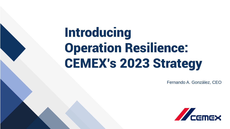# Introducing Operation Resilience: CEMEX's 2023 Strategy

Fernando A. González, CEO

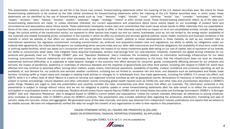This presentation contains, and the reports we will file in the future may contain, forward-looking statements within the meaning of the U.S. federal securities laws. We intend for these forward-looking statements to be covered by the safe harbor provisions for forward-looking statements within the meaning of the U.S. federal securities laws. In some cases, these statements can be identified by the use of forward-looking words such as "may," "assume," "might," "should," "could," "continue," "would," "can," "consider," "anticipate," "estimate," "expect," "envision," "plan," "believe," "foresee," "predict," "potential," "target," "strategy," "intend" or other similar words. These forward-looking statements reflect, as of the date such forward-looking statements are made, or unless otherwise indicated, our current expectations and projections about future events based on our knowledge of present facts and circumstances and assumptions about future events. These statements necessarily involve risks and uncertainties that could cause actual results to differ materially from our expectations. Some of the risks, uncertainties and other important factors that could cause results to differ, or that otherwise could have an impact on us or our consolidated entities, include, among other things: the cyclical activity of the construction sector; our exposure to other sectors that impact our and our clients' businesses, such as, but not limited to, the energy sector; availability of raw materials and related fluctuating prices; competition in the markets in which we offer our products and services; general political, social, health, economic and business conditions in the markets in which we operate or that affect our operations and any significant economic, health, political or social developments in those markets, as well as any inherent risks to international operations; the regulatory environment, including environmental, tax, antitrust, and acquisition-related rules and regulations; our ability to satisfy our obligations under our material debt agreements, the indentures that govern our outstanding senior secured notes and our other debt instruments and financial obligations; the availability of short-term credit lines or working capital facilities, which can assist us in connection with market cycles; the impact of our below investment grade debt rating on our cost of capital; loss of reputation of our brands; our ability to consummate asset sales, fully integrate newly acquired businesses, achieve cost-savings from our cost-reduction initiatives, implement our global pricing initiatives for our products and generally meet our "A Stronger CEMEX" plan and "Operation Resilience" plan's initiatives; the increasing reliance on information technology infrastructure for our sales invoicing, procurement, financial statements and other processes that can adversely affect our sales and operations in the event that the infrastructure does not work as intended, experiences technical difficulties or is subjected to cyber-attacks; changes in the economy that affect demand for consumer goods, consequently affecting demand for our products and services; the impact of pandemics, epidemics or outbreaks of infectious diseases and the response of governments and other third parties, including with respect to COVID-19, which have affected and may continue to adversely affect, among other matters, supply chains, international operations, availability of liquidity, investor confidence and consumer spending, as well as availability of, and demand for, our products and services; weather conditions, including but not limited to, excessive rain and snow, and disasters such as earthquakes and floods; trade barriers, including tariffs or import taxes and changes in existing trade policies or changes to, or withdrawals from, free trade agreements, including the USMCA, if it comes into effect, and NAFTA, while it is in effect, both of which Mexico is a party to; terrorist and organized criminal activities as well as geopolitical events; declarations of insolvency or bankruptcy, or becoming subject to similar proceedings; natural disasters and other unforeseen events (including global health hazards such as COVID-19); and other risks and uncertainties described in CEMEX's public filings. Readers are urged to read this presentation and carefully consider the risks, uncertainties and other factors that affect our business. The information contained in this presentation is subject to change without notice, and we are not obligated to publicly update or revise forward-looking statements after the date hereof or to reflect the occurrence of anticipated or unanticipated events or circumstances. Readers should review future reports filed by CEMEX with the United States Securities and Exchange Commission. CEMEX's "A Stronger CEMEX" plan and "Operation Resilience" plan is designed based on CEMEX's current beliefs and expectations. Unless the context indicates otherwise, all references to pricing initiatives, price increases or decreases, refer to CEMEX's prices for CEMEX's products. This presentation also includes statistical data regarding the production, distribution, marketing and sale of cement, ready-mix concrete, clinker and aggregates. We generated some of this data internally, and some was obtained from independent industry publications and reports that we believe to be reliable sources. We have not independently verified this data nor sought the consent of any organizations to refer to their reports in this presentation.

> UNLESS OTHERWISE NOTED, ALL FIGURES ARE PRESENTED IN DOLLARS, BASED ON INTERNATIONAL FINANCIAL REPORTING STANDARDS, AS APPLICABLE

> > Copyright CEMEX, S.A.B. de C.V. and its subsidiaries

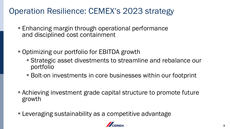### Operation Resilience: CEMEX's 2023 strategy

- Enhancing margin through operational performance and disciplined cost containment
- Optimizing our portfolio for EBITDA growth
	- Strategic asset divestments to streamline and rebalance our portfolio
	- Bolt-on investments in core businesses within our footprint
- Achieving investment grade capital structure to promote future growth
- **Leveraging sustainability as a competitive advantage**

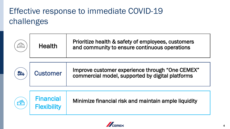# Effective response to immediate COVID-19 challenges

|    | <b>Health</b>                          | Prioritize health & safety of employees, customers<br>and community to ensure continuous operations |
|----|----------------------------------------|-----------------------------------------------------------------------------------------------------|
| MA | <b>Customer</b>                        | Improve customer experience through "One CEMEX"<br>commercial model, supported by digital platforms |
|    | <b>Financial</b><br><b>Flexibility</b> | Minimize financial risk and maintain ample liquidity                                                |

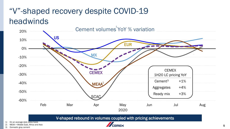# "V"-shaped recovery despite COVID-19 headwinds



V-shaped rebound in volumes coupled with pricing achievements

1) On an average daily sales basis

2) MEAA = Middle East, Africa and Asia

3) Domestic gray cement

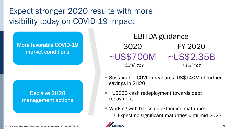# Expect stronger 2020 results with more visibility today on COVID-19 impact

#### More favorable COVID-19 market conditions

#### Decisive 2H20 management actions

FY 2020 ~US\$700M ~US\$2.35B *+4%<sup>1</sup>YoY* 3Q20 *+12%<sup>1</sup>YoY* EBITDA guidance

- Sustainable COVID measures: US\$140M of further savings in 2H20
- ~US\$3B cash redeployment towards debt repayment
- Working with banks on extending maturities
	- Expect no significant maturities until mid-2023

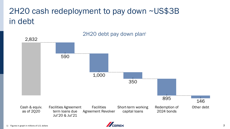# 2H20 cash redeployment to pay down ~US\$3B in debt



#### 2H20 debt pay down plan<sup>1</sup>

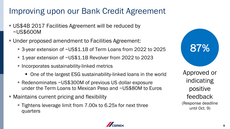### Improving upon our Bank Credit Agreement

- **US\$4B 2017 Facilities Agreement will be reduced by** ~US\$600M
- Under proposed amendment to Facilities Agreement:
	- 3-year extension of ~US\$1.1B of Term Loans from 2022 to 2025
	- 1-year extension of ~US\$1.1B Revolver from 2022 to 2023
	- **EXPENCITED Incorporates sustainability-linked metrics** 
		- One of the largest ESG sustainability-linked loans in the world
	- Redenominates ~US\$300M of previous US dollar exposure under the Term Loans to Mexican Peso and ~US\$80M to Euros
- Maintains current pricing and flexibility
	- Tightens leverage limit from 7.00x to 6.25x for next three quarters



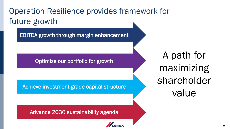# Operation Resilience provides framework for future growth

EBITDA growth through margin enhancement

Optimize our portfolio for growth

Achieve investment grade capital structure

Advance 2030 sustainability agenda

A path for maximizing shareholder value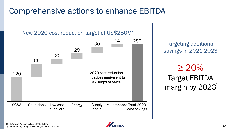### Comprehensive actions to enhance EBITDA

#### New 2020 cost reduction target of US\$280M 1



Targeting additional savings in 2021-2023

## $\geq$  20% Target EBITDA margin by 2023<sup>2</sup>

1) Figures in graph in millions of U.S. dollars

2) EBITDA margin target considering our current portfolio

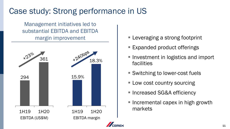### Case study: Strong performance in US

Management initiatives led to substantial EBITDA and EBITDA margin improvement



- Leveraging a strong footprint
- Expanded product offerings
- Investment in logistics and import facilities
- Switching to lower-cost fuels
- Low cost country sourcing
- Increased SG&A efficiency
- Incremental capex in high growth markets

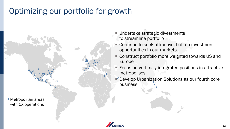### Optimizing our portfolio for growth



**Undertake strategic divestments** to streamline portfolio

- Continue to seek attractive, bolt-on investment opportunities in our markets
- **EX Construct portfolio more weighted towards US and** Europe
- Focus on vertically integrated positions in attractive metropolises
- Develop Urbanization Solutions as our fourth core business

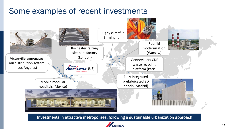### Some examples of recent investments



Investments in attractive metropolises, following a sustainable urbanization approach

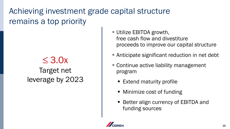Achieving investment grade capital structure remains a top priority

### $\leq$  3.0x Target net leverage by 2023

- **E** Utilize EBITDA growth, free cash flow and divestiture proceeds to improve our capital structure
- Anticipate significant reduction in net debt
- Continue active liability management program
	- Extend maturity profile
	- Minimize cost of funding
	- Better align currency of EBITDA and funding sources

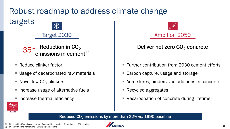#### Robust roadmap to address climate change targets G





- Reduce clinker factor
- Usage of decarbonated raw materials
- $\blacksquare$  Novel low-CO<sub>2</sub> clinkers
- Increase usage of alternative fuels
- Increase thermal efficiency



#### Deliver net zero CO<sub>2</sub> concrete

- Further contribution from 2030 cement efforts
- Carbon capture, usage and storage
- Admixtures, binders and additions in concrete
- Recycled aggregates
- Recarbonation of concrete during lifetime



#### Reduced  $CO<sub>2</sub>$  emissions by more than 22% vs. 1990 baseline

15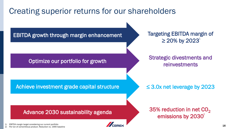### Creating superior returns for our shareholders



1) EBITDA margin target considering our current portfolio 2) Per ton of cementitious product. Reduction vs. 1990 baseline